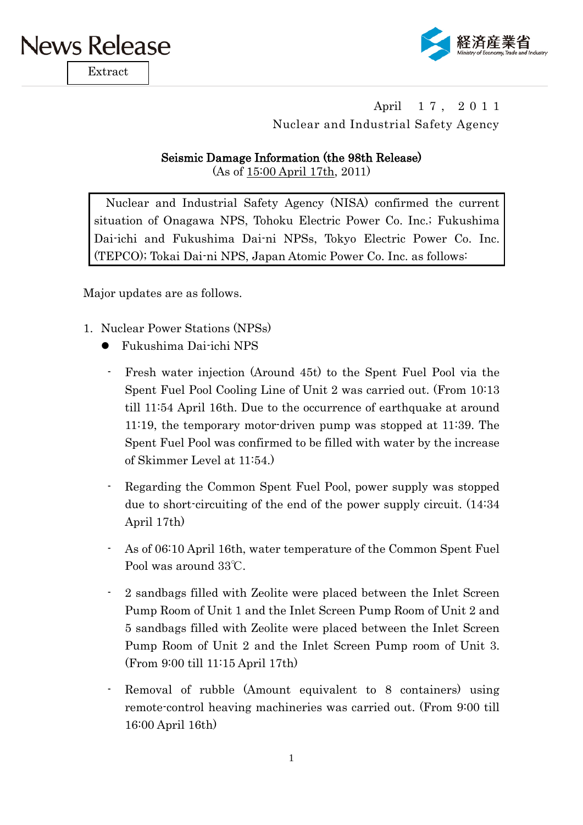

Extract



## April 17, 2011 Nuclear and Industrial Safety Agency

## Seismic Damage Information (the 98th Release)

(As of 15:00 April 17th, 2011)

Nuclear and Industrial Safety Agency (NISA) confirmed the current situation of Onagawa NPS, Tohoku Electric Power Co. Inc.; Fukushima Dai-ichi and Fukushima Dai-ni NPSs, Tokyo Electric Power Co. Inc. (TEPCO); Tokai Dai-ni NPS, Japan Atomic Power Co. Inc. as follows:

Major updates are as follows.

- 1. Nuclear Power Stations (NPSs)
	- Fukushima Dai-ichi NPS
		- Fresh water injection (Around 45t) to the Spent Fuel Pool via the Spent Fuel Pool Cooling Line of Unit 2 was carried out. (From 10:13 till 11:54 April 16th. Due to the occurrence of earthquake at around 11:19, the temporary motor-driven pump was stopped at 11:39. The Spent Fuel Pool was confirmed to be filled with water by the increase of Skimmer Level at 11:54.)
		- Regarding the Common Spent Fuel Pool, power supply was stopped due to short-circuiting of the end of the power supply circuit. (14:34 April 17th)
		- As of 06:10 April 16th, water temperature of the Common Spent Fuel Pool was around 33℃.
		- 2 sandbags filled with Zeolite were placed between the Inlet Screen Pump Room of Unit 1 and the Inlet Screen Pump Room of Unit 2 and 5 sandbags filled with Zeolite were placed between the Inlet Screen Pump Room of Unit 2 and the Inlet Screen Pump room of Unit 3. (From 9:00 till 11:15 April 17th)
	- Removal of rubble (Amount equivalent to 8 containers) using remote-control heaving machineries was carried out. (From 9:00 till 16:00 April 16th)